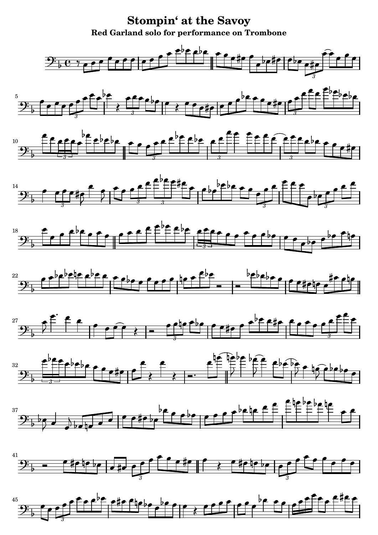**Stompin' at the Savoy** Red Garland solo for performance on Trombone